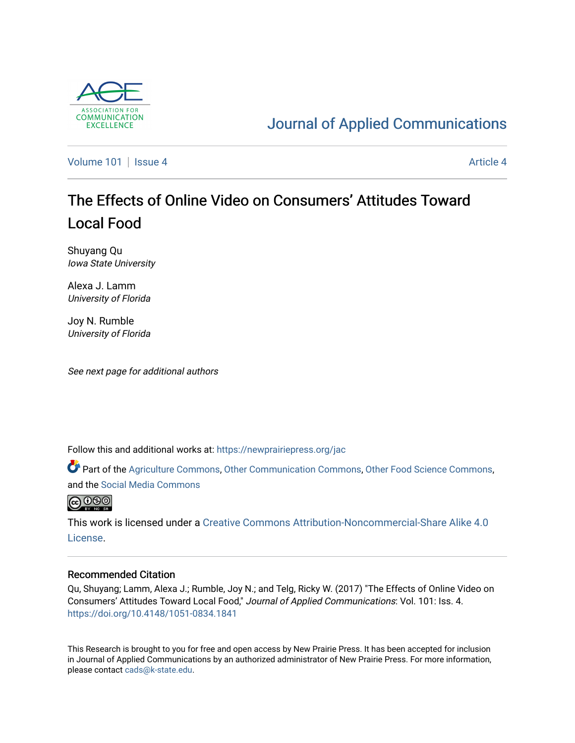

# [Journal of Applied Communications](https://newprairiepress.org/jac)

[Volume 101](https://newprairiepress.org/jac/vol101) | [Issue 4](https://newprairiepress.org/jac/vol101/iss4) [Article 4](https://newprairiepress.org/jac/vol101/iss4/4) Article 4

# The Effects of Online Video on Consumers' Attitudes Toward Local Food

Shuyang Qu Iowa State University

Alexa J. Lamm University of Florida

Joy N. Rumble University of Florida

See next page for additional authors

Follow this and additional works at: [https://newprairiepress.org/jac](https://newprairiepress.org/jac?utm_source=newprairiepress.org%2Fjac%2Fvol101%2Fiss4%2F4&utm_medium=PDF&utm_campaign=PDFCoverPages)

Part of the [Agriculture Commons](http://network.bepress.com/hgg/discipline/1076?utm_source=newprairiepress.org%2Fjac%2Fvol101%2Fiss4%2F4&utm_medium=PDF&utm_campaign=PDFCoverPages), [Other Communication Commons,](http://network.bepress.com/hgg/discipline/339?utm_source=newprairiepress.org%2Fjac%2Fvol101%2Fiss4%2F4&utm_medium=PDF&utm_campaign=PDFCoverPages) [Other Food Science Commons,](http://network.bepress.com/hgg/discipline/89?utm_source=newprairiepress.org%2Fjac%2Fvol101%2Fiss4%2F4&utm_medium=PDF&utm_campaign=PDFCoverPages) and the [Social Media Commons](http://network.bepress.com/hgg/discipline/1249?utm_source=newprairiepress.org%2Fjac%2Fvol101%2Fiss4%2F4&utm_medium=PDF&utm_campaign=PDFCoverPages)



This work is licensed under a [Creative Commons Attribution-Noncommercial-Share Alike 4.0](https://creativecommons.org/licenses/by-nc-sa/4.0/) [License.](https://creativecommons.org/licenses/by-nc-sa/4.0/)

#### Recommended Citation

Qu, Shuyang; Lamm, Alexa J.; Rumble, Joy N.; and Telg, Ricky W. (2017) "The Effects of Online Video on Consumers' Attitudes Toward Local Food," Journal of Applied Communications: Vol. 101: Iss. 4. <https://doi.org/10.4148/1051-0834.1841>

This Research is brought to you for free and open access by New Prairie Press. It has been accepted for inclusion in Journal of Applied Communications by an authorized administrator of New Prairie Press. For more information, please contact [cads@k-state.edu.](mailto:cads@k-state.edu)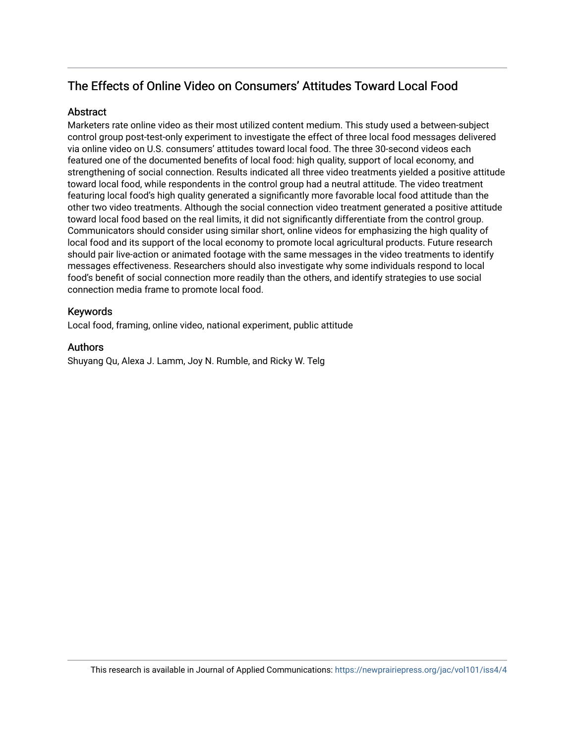# The Effects of Online Video on Consumers' Attitudes Toward Local Food

# **Abstract**

Marketers rate online video as their most utilized content medium. This study used a between-subject control group post-test-only experiment to investigate the effect of three local food messages delivered via online video on U.S. consumers' attitudes toward local food. The three 30-second videos each featured one of the documented benefits of local food: high quality, support of local economy, and strengthening of social connection. Results indicated all three video treatments yielded a positive attitude toward local food, while respondents in the control group had a neutral attitude. The video treatment featuring local food's high quality generated a significantly more favorable local food attitude than the other two video treatments. Although the social connection video treatment generated a positive attitude toward local food based on the real limits, it did not significantly differentiate from the control group. Communicators should consider using similar short, online videos for emphasizing the high quality of local food and its support of the local economy to promote local agricultural products. Future research should pair live-action or animated footage with the same messages in the video treatments to identify messages effectiveness. Researchers should also investigate why some individuals respond to local food's benefit of social connection more readily than the others, and identify strategies to use social connection media frame to promote local food.

## Keywords

Local food, framing, online video, national experiment, public attitude

#### Authors

Shuyang Qu, Alexa J. Lamm, Joy N. Rumble, and Ricky W. Telg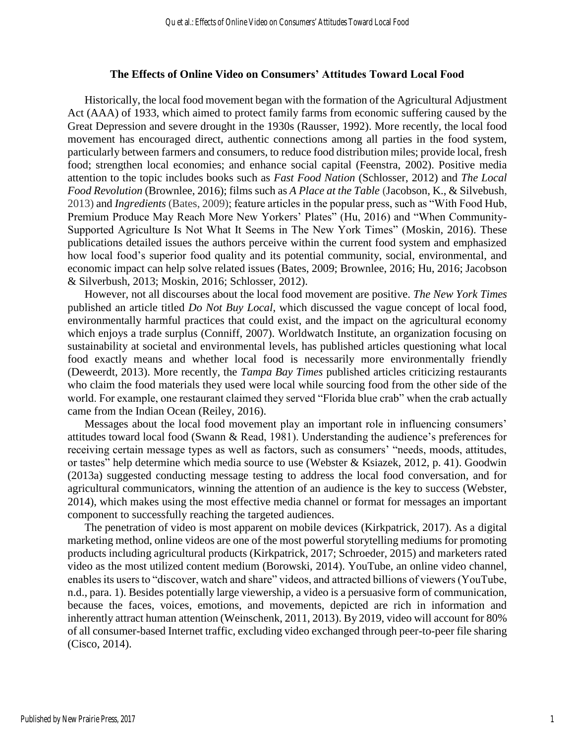#### **The Effects of Online Video on Consumers' Attitudes Toward Local Food**

Historically, the local food movement began with the formation of the Agricultural Adjustment Act (AAA) of 1933, which aimed to protect family farms from economic suffering caused by the Great Depression and severe drought in the 1930s (Rausser, 1992). More recently, the local food movement has encouraged direct, authentic connections among all parties in the food system, particularly between farmers and consumers, to reduce food distribution miles; provide local, fresh food; strengthen local economies; and enhance social capital (Feenstra, 2002). Positive media attention to the topic includes books such as *Fast Food Nation* (Schlosser, 2012) and *The Local Food Revolution* (Brownlee, 2016); films such as *A Place at the Table* (Jacobson, K., & Silvebush, 2013) and *Ingredients* (Bates, 2009); feature articles in the popular press, such as "With Food Hub, Premium Produce May Reach More New Yorkers' Plates" (Hu, 2016) and "When Community-Supported Agriculture Is Not What It Seems in The New York Times" (Moskin, 2016). These publications detailed issues the authors perceive within the current food system and emphasized how local food's superior food quality and its potential community, social, environmental, and economic impact can help solve related issues (Bates, 2009; Brownlee, 2016; Hu, 2016; Jacobson & Silverbush, 2013; Moskin, 2016; Schlosser, 2012).

However, not all discourses about the local food movement are positive. *The New York Times*  published an article titled *Do Not Buy Local*, which discussed the vague concept of local food, environmentally harmful practices that could exist, and the impact on the agricultural economy which enjoys a trade surplus (Conniff, 2007). Worldwatch Institute, an organization focusing on sustainability at societal and environmental levels, has published articles questioning what local food exactly means and whether local food is necessarily more environmentally friendly (Deweerdt, 2013). More recently, the *Tampa Bay Times* published articles criticizing restaurants who claim the food materials they used were local while sourcing food from the other side of the world. For example, one restaurant claimed they served "Florida blue crab" when the crab actually came from the Indian Ocean (Reiley, 2016).

Messages about the local food movement play an important role in influencing consumers' attitudes toward local food (Swann & Read, 1981). Understanding the audience's preferences for receiving certain message types as well as factors, such as consumers' "needs, moods, attitudes, or tastes" help determine which media source to use (Webster & Ksiazek, 2012, p. 41). Goodwin (2013a) suggested conducting message testing to address the local food conversation, and for agricultural communicators, winning the attention of an audience is the key to success (Webster, 2014), which makes using the most effective media channel or format for messages an important component to successfully reaching the targeted audiences.

The penetration of video is most apparent on mobile devices (Kirkpatrick, 2017). As a digital marketing method, online videos are one of the most powerful storytelling mediums for promoting products including agricultural products (Kirkpatrick, 2017; Schroeder, 2015) and marketers rated video as the most utilized content medium (Borowski, 2014). YouTube, an online video channel, enables its users to "discover, watch and share" videos, and attracted billions of viewers (YouTube, n.d., para. 1). Besides potentially large viewership, a video is a persuasive form of communication, because the faces, voices, emotions, and movements, depicted are rich in information and inherently attract human attention (Weinschenk, 2011, 2013). By 2019, video will account for 80% of all consumer-based Internet traffic, excluding video exchanged through peer-to-peer file sharing (Cisco, 2014).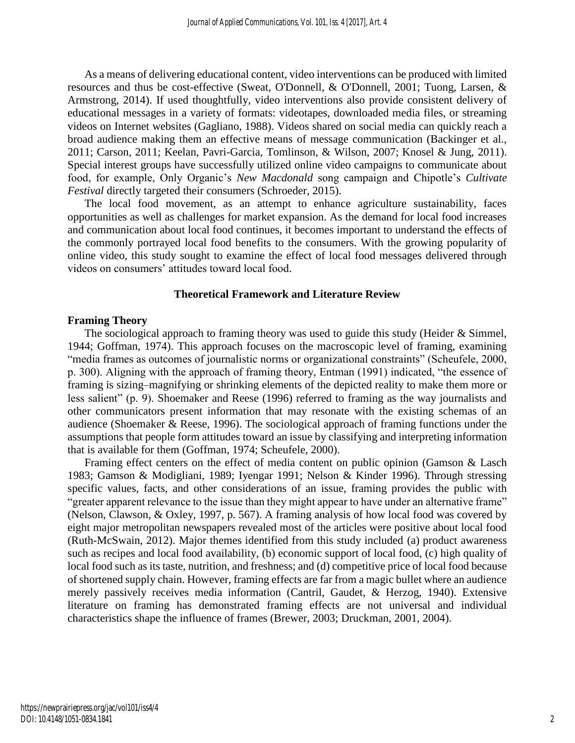As a means of delivering educational content, video interventions can be produced with limited resources and thus be cost-effective (Sweat, O'Donnell, & O'Donnell, 2001; Tuong, Larsen, & Armstrong, 2014). If used thoughtfully, video interventions also provide consistent delivery of educational messages in a variety of formats: videotapes, downloaded media files, or streaming videos on Internet websites (Gagliano, 1988). Videos shared on social media can quickly reach a broad audience making them an effective means of message communication (Backinger et al., 2011; Carson, 2011; Keelan, Pavri-Garcia, Tomlinson, & Wilson, 2007; Knosel & Jung, 2011). Special interest groups have successfully utilized online video campaigns to communicate about food, for example, Only Organic's *New Macdonald* song campaign and Chipotle's *Cultivate Festival* directly targeted their consumers (Schroeder, 2015).

The local food movement, as an attempt to enhance agriculture sustainability, faces opportunities as well as challenges for market expansion. As the demand for local food increases and communication about local food continues, it becomes important to understand the effects of the commonly portrayed local food benefits to the consumers. With the growing popularity of online video, this study sought to examine the effect of local food messages delivered through videos on consumers' attitudes toward local food.

#### **Theoretical Framework and Literature Review**

#### **Framing Theory**

The sociological approach to framing theory was used to guide this study (Heider & Simmel, 1944; Goffman, 1974). This approach focuses on the macroscopic level of framing, examining "media frames as outcomes of journalistic norms or organizational constraints" (Scheufele, 2000, p. 300). Aligning with the approach of framing theory, Entman (1991) indicated, "the essence of framing is sizing–magnifying or shrinking elements of the depicted reality to make them more or less salient" (p. 9). Shoemaker and Reese (1996) referred to framing as the way journalists and other communicators present information that may resonate with the existing schemas of an audience (Shoemaker & Reese, 1996). The sociological approach of framing functions under the assumptions that people form attitudes toward an issue by classifying and interpreting information that is available for them (Goffman, 1974; Scheufele, 2000).

Framing effect centers on the effect of media content on public opinion (Gamson & Lasch 1983; Gamson & Modigliani, 1989; Iyengar 1991; Nelson & Kinder 1996). Through stressing specific values, facts, and other considerations of an issue, framing provides the public with "greater apparent relevance to the issue than they might appear to have under an alternative frame" (Nelson, Clawson, & Oxley, 1997, p. 567). A framing analysis of how local food was covered by eight major metropolitan newspapers revealed most of the articles were positive about local food (Ruth-McSwain, 2012). Major themes identified from this study included (a) product awareness such as recipes and local food availability, (b) economic support of local food, (c) high quality of local food such as its taste, nutrition, and freshness; and (d) competitive price of local food because of shortened supply chain. However, framing effects are far from a magic bullet where an audience merely passively receives media information (Cantril, Gaudet, & Herzog, 1940). Extensive literature on framing has demonstrated framing effects are not universal and individual characteristics shape the influence of frames (Brewer, 2003; Druckman, 2001, 2004).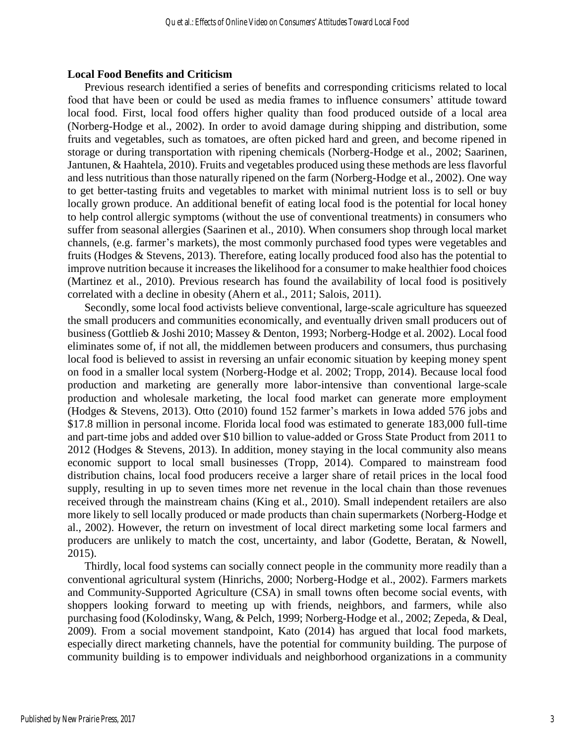#### **Local Food Benefits and Criticism**

Previous research identified a series of benefits and corresponding criticisms related to local food that have been or could be used as media frames to influence consumers' attitude toward local food. First, local food offers higher quality than food produced outside of a local area (Norberg-Hodge et al., 2002). In order to avoid damage during shipping and distribution, some fruits and vegetables, such as tomatoes, are often picked hard and green, and become ripened in storage or during transportation with ripening chemicals (Norberg-Hodge et al., 2002; Saarinen, Jantunen, & Haahtela, 2010). Fruits and vegetables produced using these methods are less flavorful and less nutritious than those naturally ripened on the farm (Norberg-Hodge et al., 2002). One way to get better-tasting fruits and vegetables to market with minimal nutrient loss is to sell or buy locally grown produce. An additional benefit of eating local food is the potential for local honey to help control allergic symptoms (without the use of conventional treatments) in consumers who suffer from seasonal allergies (Saarinen et al., 2010). When consumers shop through local market channels, (e.g. farmer's markets), the most commonly purchased food types were vegetables and fruits (Hodges & Stevens, 2013). Therefore, eating locally produced food also has the potential to improve nutrition because it increases the likelihood for a consumer to make healthier food choices (Martinez et al., 2010). Previous research has found the availability of local food is positively correlated with a decline in obesity (Ahern et al., 2011; Salois, 2011).

Secondly, some local food activists believe conventional, large-scale agriculture has squeezed the small producers and communities economically, and eventually driven small producers out of business (Gottlieb & Joshi 2010; Massey & Denton, 1993; Norberg-Hodge et al. 2002). Local food eliminates some of, if not all, the middlemen between producers and consumers, thus purchasing local food is believed to assist in reversing an unfair economic situation by keeping money spent on food in a smaller local system (Norberg-Hodge et al. 2002; Tropp, 2014). Because local food production and marketing are generally more labor-intensive than conventional large-scale production and wholesale marketing, the local food market can generate more employment (Hodges & Stevens, 2013). Otto (2010) found 152 farmer's markets in Iowa added 576 jobs and \$17.8 million in personal income. Florida local food was estimated to generate 183,000 full-time and part-time jobs and added over \$10 billion to value-added or Gross State Product from 2011 to 2012 (Hodges & Stevens, 2013). In addition, money staying in the local community also means economic support to local small businesses (Tropp, 2014). Compared to mainstream food distribution chains, local food producers receive a larger share of retail prices in the local food supply, resulting in up to seven times more net revenue in the local chain than those revenues received through the mainstream chains (King et al., 2010). Small independent retailers are also more likely to sell locally produced or made products than chain supermarkets (Norberg-Hodge et al., 2002). However, the return on investment of local direct marketing some local farmers and producers are unlikely to match the cost, uncertainty, and labor (Godette, Beratan, & Nowell, 2015).

Thirdly, local food systems can socially connect people in the community more readily than a conventional agricultural system (Hinrichs, 2000; Norberg-Hodge et al., 2002). Farmers markets and Community-Supported Agriculture (CSA) in small towns often become social events, with shoppers looking forward to meeting up with friends, neighbors, and farmers, while also purchasing food (Kolodinsky, Wang, & Pelch, 1999; Norberg-Hodge et al., 2002; Zepeda, & Deal, 2009). From a social movement standpoint, Kato (2014) has argued that local food markets, especially direct marketing channels, have the potential for community building. The purpose of community building is to empower individuals and neighborhood organizations in a community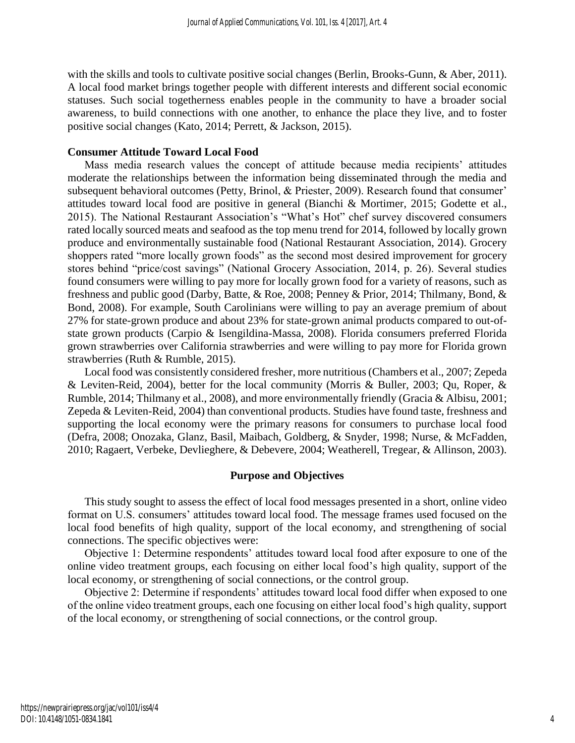with the skills and tools to cultivate positive social changes (Berlin, Brooks-Gunn, & Aber, 2011). A local food market brings together people with different interests and different social economic statuses. Such social togetherness enables people in the community to have a broader social awareness, to build connections with one another, to enhance the place they live, and to foster positive social changes (Kato, 2014; Perrett, & Jackson, 2015).

#### **Consumer Attitude Toward Local Food**

Mass media research values the concept of attitude because media recipients' attitudes moderate the relationships between the information being disseminated through the media and subsequent behavioral outcomes (Petty, Brinol, & Priester, 2009). Research found that consumer' attitudes toward local food are positive in general (Bianchi & Mortimer, 2015; Godette et al., 2015). The National Restaurant Association's "What's Hot" chef survey discovered consumers rated locally sourced meats and seafood as the top menu trend for 2014, followed by locally grown produce and environmentally sustainable food (National Restaurant Association, 2014). Grocery shoppers rated "more locally grown foods" as the second most desired improvement for grocery stores behind "price/cost savings" (National Grocery Association, 2014, p. 26). Several studies found consumers were willing to pay more for locally grown food for a variety of reasons, such as freshness and public good (Darby, Batte, & Roe, 2008; Penney & Prior, 2014; Thilmany, Bond, & Bond, 2008). For example, South Carolinians were willing to pay an average premium of about 27% for state-grown produce and about 23% for state-grown animal products compared to out-ofstate grown products (Carpio & Isengildina-Massa, 2008). Florida consumers preferred Florida grown strawberries over California strawberries and were willing to pay more for Florida grown strawberries (Ruth & Rumble, 2015).

Local food was consistently considered fresher, more nutritious (Chambers et al., 2007; Zepeda & Leviten-Reid, 2004), better for the local community (Morris & Buller, 2003; Qu, Roper, & Rumble, 2014; Thilmany et al., 2008), and more environmentally friendly (Gracia & Albisu, 2001; Zepeda & Leviten-Reid, 2004) than conventional products. Studies have found taste, freshness and supporting the local economy were the primary reasons for consumers to purchase local food (Defra, 2008; Onozaka, Glanz, Basil, Maibach, Goldberg, & Snyder, 1998; Nurse, & McFadden, 2010; Ragaert, Verbeke, Devlieghere, & Debevere, 2004; Weatherell, Tregear, & Allinson, 2003).

# **Purpose and Objectives**

This study sought to assess the effect of local food messages presented in a short, online video format on U.S. consumers' attitudes toward local food. The message frames used focused on the local food benefits of high quality, support of the local economy, and strengthening of social connections. The specific objectives were:

Objective 1: Determine respondents' attitudes toward local food after exposure to one of the online video treatment groups, each focusing on either local food's high quality, support of the local economy, or strengthening of social connections, or the control group.

Objective 2: Determine if respondents' attitudes toward local food differ when exposed to one of the online video treatment groups, each one focusing on either local food's high quality, support of the local economy, or strengthening of social connections, or the control group.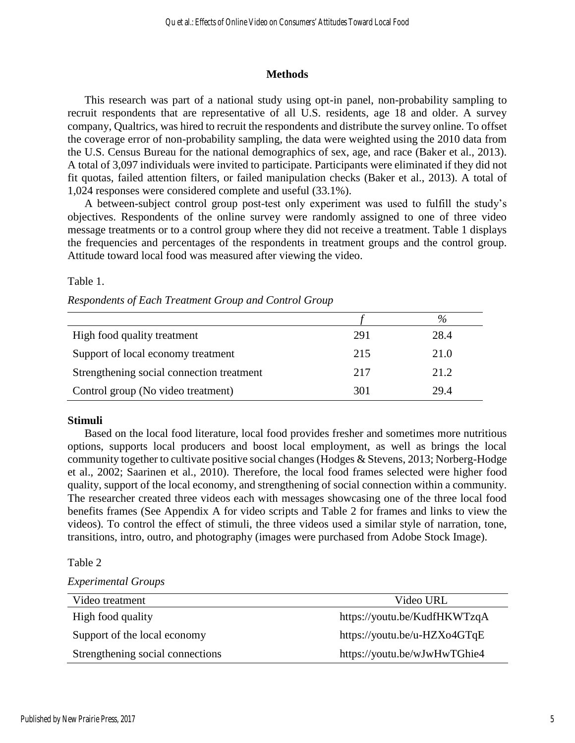## **Methods**

This research was part of a national study using opt-in panel, non-probability sampling to recruit respondents that are representative of all U.S. residents, age 18 and older. A survey company, Qualtrics, was hired to recruit the respondents and distribute the survey online. To offset the coverage error of non-probability sampling, the data were weighted using the 2010 data from the U.S. Census Bureau for the national demographics of sex, age, and race (Baker et al., 2013). A total of 3,097 individuals were invited to participate. Participants were eliminated if they did not fit quotas, failed attention filters, or failed manipulation checks (Baker et al., 2013). A total of 1,024 responses were considered complete and useful (33.1%).

A between-subject control group post-test only experiment was used to fulfill the study's objectives. Respondents of the online survey were randomly assigned to one of three video message treatments or to a control group where they did not receive a treatment. Table 1 displays the frequencies and percentages of the respondents in treatment groups and the control group. Attitude toward local food was measured after viewing the video.

Table 1.

|  |  | Respondents of Each Treatment Group and Control Group |  |  |
|--|--|-------------------------------------------------------|--|--|
|  |  |                                                       |  |  |

|                                           |     | $\%$ |
|-------------------------------------------|-----|------|
| High food quality treatment               | 291 | 28.4 |
| Support of local economy treatment        | 215 | 21.0 |
| Strengthening social connection treatment | 217 | 21.2 |
| Control group (No video treatment)        | 301 | 29.4 |

#### **Stimuli**

Based on the local food literature, local food provides fresher and sometimes more nutritious options, supports local producers and boost local employment, as well as brings the local community together to cultivate positive social changes (Hodges & Stevens, 2013; Norberg-Hodge et al., 2002; Saarinen et al., 2010). Therefore, the local food frames selected were higher food quality, support of the local economy, and strengthening of social connection within a community. The researcher created three videos each with messages showcasing one of the three local food benefits frames (See Appendix A for video scripts and Table 2 for frames and links to view the videos). To control the effect of stimuli, the three videos used a similar style of narration, tone, transitions, intro, outro, and photography (images were purchased from Adobe Stock Image).

Table 2

*Experimental Groups*

| Video treatment                  | Video URL                    |
|----------------------------------|------------------------------|
| High food quality                | https://youtu.be/KudfHKWTzqA |
| Support of the local economy     | https://youtu.be/u-HZXo4GTqE |
| Strengthening social connections | https://youtu.be/wJwHwTGhie4 |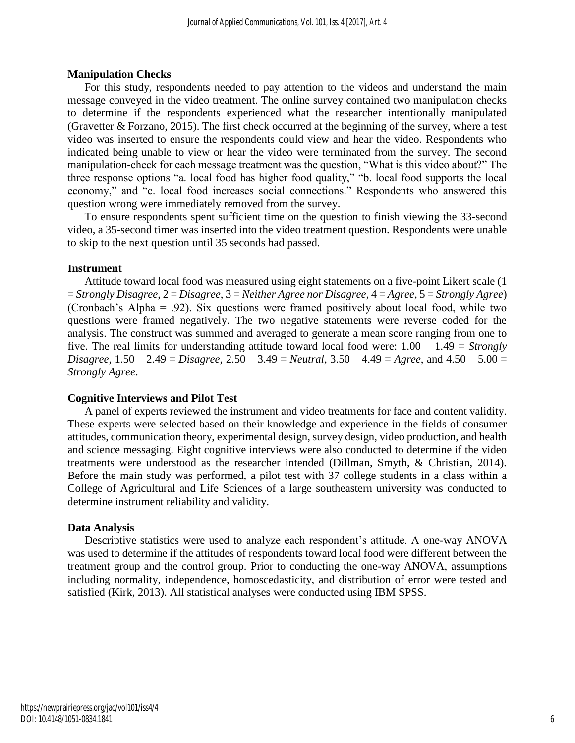## **Manipulation Checks**

For this study, respondents needed to pay attention to the videos and understand the main message conveyed in the video treatment. The online survey contained two manipulation checks to determine if the respondents experienced what the researcher intentionally manipulated (Gravetter & Forzano, 2015). The first check occurred at the beginning of the survey, where a test video was inserted to ensure the respondents could view and hear the video. Respondents who indicated being unable to view or hear the video were terminated from the survey. The second manipulation-check for each message treatment was the question, "What is this video about?" The three response options "a. local food has higher food quality," "b. local food supports the local economy," and "c. local food increases social connections." Respondents who answered this question wrong were immediately removed from the survey.

To ensure respondents spent sufficient time on the question to finish viewing the 33-second video, a 35-second timer was inserted into the video treatment question. Respondents were unable to skip to the next question until 35 seconds had passed.

# **Instrument**

Attitude toward local food was measured using eight statements on a five-point Likert scale (1 = *Strongly Disagree*, 2 = *Disagree*, 3 = *Neither Agree nor Disagree*, 4 = *Agree*, 5 = *Strongly Agree*) (Cronbach's Alpha = .92). Six questions were framed positively about local food, while two questions were framed negatively. The two negative statements were reverse coded for the analysis. The construct was summed and averaged to generate a mean score ranging from one to five. The real limits for understanding attitude toward local food were: 1.00 – 1.49 = *Strongly Disagree*, 1.50 – 2.49 = *Disagree*, 2.50 – 3.49 = *Neutral*, 3.50 – 4.49 = *Agree*, and 4.50 – 5.00 = *Strongly Agree*.

# **Cognitive Interviews and Pilot Test**

A panel of experts reviewed the instrument and video treatments for face and content validity. These experts were selected based on their knowledge and experience in the fields of consumer attitudes, communication theory, experimental design, survey design, video production, and health and science messaging. Eight cognitive interviews were also conducted to determine if the video treatments were understood as the researcher intended (Dillman, Smyth, & Christian, 2014). Before the main study was performed, a pilot test with 37 college students in a class within a College of Agricultural and Life Sciences of a large southeastern university was conducted to determine instrument reliability and validity.

#### **Data Analysis**

Descriptive statistics were used to analyze each respondent's attitude. A one-way ANOVA was used to determine if the attitudes of respondents toward local food were different between the treatment group and the control group. Prior to conducting the one-way ANOVA, assumptions including normality, independence, homoscedasticity, and distribution of error were tested and satisfied (Kirk, 2013). All statistical analyses were conducted using IBM SPSS.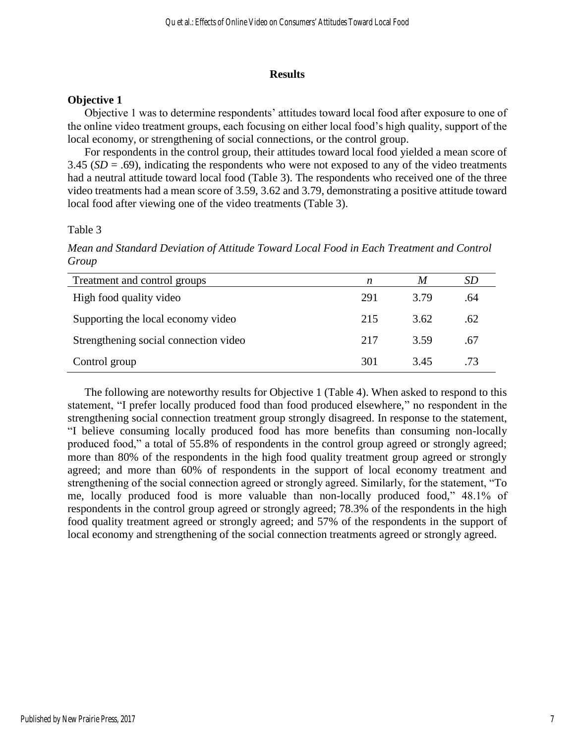## **Results**

# **Objective 1**

Objective 1 was to determine respondents' attitudes toward local food after exposure to one of the online video treatment groups, each focusing on either local food's high quality, support of the local economy, or strengthening of social connections, or the control group.

For respondents in the control group, their attitudes toward local food yielded a mean score of 3.45 (*SD* = .69), indicating the respondents who were not exposed to any of the video treatments had a neutral attitude toward local food (Table 3). The respondents who received one of the three video treatments had a mean score of 3.59, 3.62 and 3.79, demonstrating a positive attitude toward local food after viewing one of the video treatments (Table 3).

Table 3

*Mean and Standard Deviation of Attitude Toward Local Food in Each Treatment and Control Group*

| Treatment and control groups          | n   | M    | <i>SD</i> |
|---------------------------------------|-----|------|-----------|
| High food quality video               | 291 | 3.79 | .64       |
| Supporting the local economy video    | 215 | 3.62 | .62       |
| Strengthening social connection video | 217 | 3.59 | .67       |
| Control group                         | 301 | 3.45 | .73       |

The following are noteworthy results for Objective 1 (Table 4). When asked to respond to this statement, "I prefer locally produced food than food produced elsewhere," no respondent in the strengthening social connection treatment group strongly disagreed. In response to the statement, "I believe consuming locally produced food has more benefits than consuming non-locally produced food," a total of 55.8% of respondents in the control group agreed or strongly agreed; more than 80% of the respondents in the high food quality treatment group agreed or strongly agreed; and more than 60% of respondents in the support of local economy treatment and strengthening of the social connection agreed or strongly agreed. Similarly, for the statement, "To me, locally produced food is more valuable than non-locally produced food," 48.1% of respondents in the control group agreed or strongly agreed; 78.3% of the respondents in the high food quality treatment agreed or strongly agreed; and 57% of the respondents in the support of local economy and strengthening of the social connection treatments agreed or strongly agreed.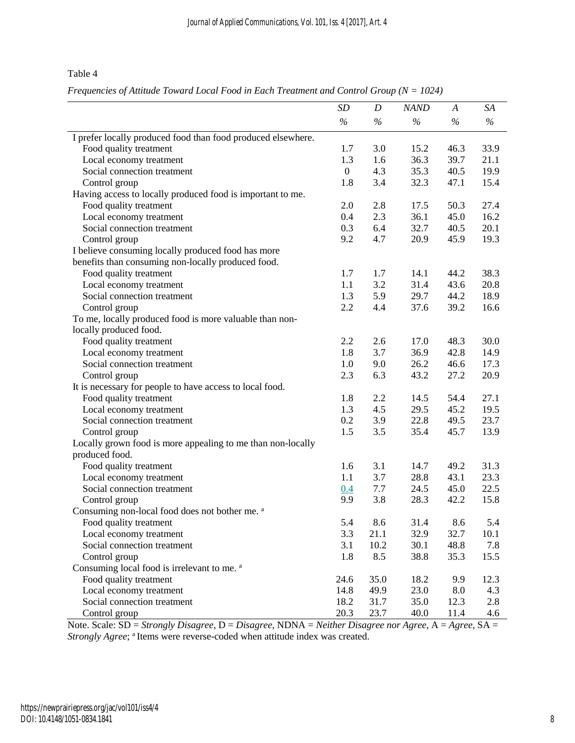Table 4

*Frequencies of Attitude Toward Local Food in Each Treatment and Control Group (N = 1024)*

|                                                              | SD           | D             | <b>NAND</b>   | A    | SA   |
|--------------------------------------------------------------|--------------|---------------|---------------|------|------|
|                                                              | $\%$         | $\frac{6}{6}$ | $\frac{6}{6}$ | $\%$ | $\%$ |
| I prefer locally produced food than food produced elsewhere. |              |               |               |      |      |
| Food quality treatment                                       | 1.7          | 3.0           | 15.2          | 46.3 | 33.9 |
| Local economy treatment                                      | 1.3          | 1.6           | 36.3          | 39.7 | 21.1 |
| Social connection treatment                                  | $\mathbf{0}$ | 4.3           | 35.3          | 40.5 | 19.9 |
| Control group                                                | 1.8          | 3.4           | 32.3          | 47.1 | 15.4 |
| Having access to locally produced food is important to me.   |              |               |               |      |      |
| Food quality treatment                                       | 2.0          | 2.8           | 17.5          | 50.3 | 27.4 |
| Local economy treatment                                      | 0.4          | 2.3           | 36.1          | 45.0 | 16.2 |
| Social connection treatment                                  | 0.3          | 6.4           | 32.7          | 40.5 | 20.1 |
| Control group                                                | 9.2          | 4.7           | 20.9          | 45.9 | 19.3 |
| I believe consuming locally produced food has more           |              |               |               |      |      |
| benefits than consuming non-locally produced food.           |              |               |               |      |      |
| Food quality treatment                                       | 1.7          | 1.7           | 14.1          | 44.2 | 38.3 |
| Local economy treatment                                      | 1.1          | 3.2           | 31.4          | 43.6 | 20.8 |
| Social connection treatment                                  | 1.3          | 5.9           | 29.7          | 44.2 | 18.9 |
| Control group                                                | 2.2          | 4.4           | 37.6          | 39.2 | 16.6 |
| To me, locally produced food is more valuable than non-      |              |               |               |      |      |
| locally produced food.                                       |              |               |               |      |      |
| Food quality treatment                                       | 2.2          | 2.6           | 17.0          | 48.3 | 30.0 |
| Local economy treatment                                      | 1.8          | 3.7           | 36.9          | 42.8 | 14.9 |
| Social connection treatment                                  | 1.0          | 9.0           | 26.2          | 46.6 | 17.3 |
| Control group                                                | 2.3          | 6.3           | 43.2          | 27.2 | 20.9 |
| It is necessary for people to have access to local food.     |              |               |               |      |      |
| Food quality treatment                                       | 1.8          | 2.2           | 14.5          | 54.4 | 27.1 |
| Local economy treatment                                      | 1.3          | 4.5           | 29.5          | 45.2 | 19.5 |
| Social connection treatment                                  | 0.2          | 3.9           | 22.8          | 49.5 | 23.7 |
| Control group                                                | 1.5          | 3.5           | 35.4          | 45.7 | 13.9 |
| Locally grown food is more appealing to me than non-locally  |              |               |               |      |      |
| produced food.                                               |              |               |               |      |      |
| Food quality treatment                                       | 1.6          | 3.1           | 14.7          | 49.2 | 31.3 |
| Local economy treatment                                      | 1.1          | 3.7           | 28.8          | 43.1 | 23.3 |
| Social connection treatment                                  | 0.4          | 7.7           | 24.5          | 45.0 | 22.5 |
| Control group                                                | 9.9          | 3.8           | 28.3          | 42.2 | 15.8 |
| Consuming non-local food does not bother me. a               |              |               |               |      |      |
| Food quality treatment                                       | 5.4          | 8.6           | 31.4          | 8.6  | 5.4  |
| Local economy treatment                                      | 3.3          | 21.1          | 32.9          | 32.7 | 10.1 |
| Social connection treatment                                  | 3.1          | 10.2          | 30.1          | 48.8 | 7.8  |
| Control group                                                | 1.8          | 8.5           | 38.8          | 35.3 | 15.5 |
| Consuming local food is irrelevant to me. <sup>a</sup>       |              |               |               |      |      |
| Food quality treatment                                       | 24.6         | 35.0          | 18.2          | 9.9  | 12.3 |
| Local economy treatment                                      | 14.8         | 49.9          | 23.0          | 8.0  | 4.3  |
| Social connection treatment                                  | 18.2         | 31.7          | 35.0          | 12.3 | 2.8  |
| Control group                                                | 20.3         | 23.7          | 40.0          | 11.4 | 4.6  |

Note. Scale: SD = *Strongly Disagree*, D = *Disagree*, NDNA = *Neither Disagree nor Agree*, A = *Agree*, SA = *Strongly Agree*; <sup>a</sup> Items were reverse-coded when attitude index was created.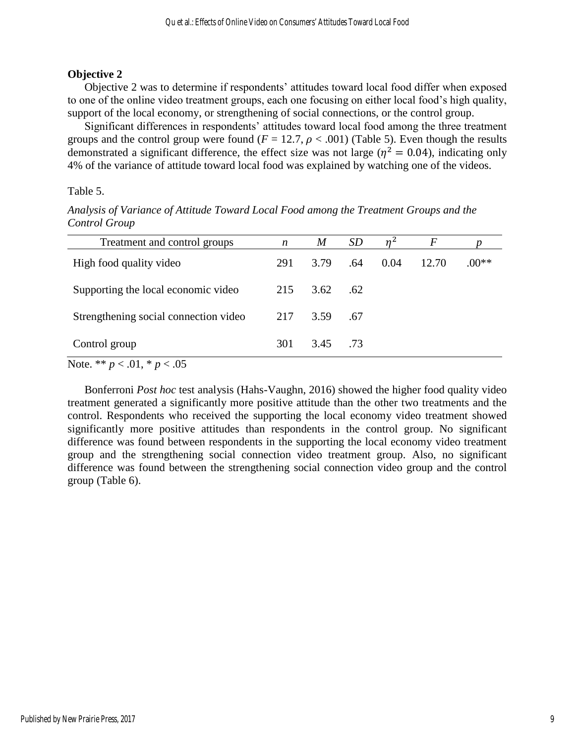# **Objective 2**

Objective 2 was to determine if respondents' attitudes toward local food differ when exposed to one of the online video treatment groups, each one focusing on either local food's high quality, support of the local economy, or strengthening of social connections, or the control group.

Significant differences in respondents' attitudes toward local food among the three treatment groups and the control group were found  $(F = 12.7, \rho < .001)$  (Table 5). Even though the results demonstrated a significant difference, the effect size was not large ( $\eta^2 = 0.04$ ), indicating only 4% of the variance of attitude toward local food was explained by watching one of the videos.

Table 5.

| Treatment and control groups                              | $\boldsymbol{n}$ | $\boldsymbol{M}$ | SD  |      | F     |         |
|-----------------------------------------------------------|------------------|------------------|-----|------|-------|---------|
| High food quality video                                   | 291              | 3.79             | .64 | 0.04 | 12.70 | $.00**$ |
| Supporting the local economic video                       | 215              | 3.62             | .62 |      |       |         |
| Strengthening social connection video                     | 217              | 3.59             | .67 |      |       |         |
| Control group                                             | 301              | 3.45             | .73 |      |       |         |
| $N_{\alpha}$ + $\alpha$ * * $\alpha$ > 01 * $\alpha$ > 05 |                  |                  |     |      |       |         |

*Analysis of Variance of Attitude Toward Local Food among the Treatment Groups and the Control Group*

Note. \*\* *p* < .01, \* *p* < .05

Bonferroni *Post hoc* test analysis (Hahs-Vaughn, 2016) showed the higher food quality video treatment generated a significantly more positive attitude than the other two treatments and the control. Respondents who received the supporting the local economy video treatment showed significantly more positive attitudes than respondents in the control group. No significant difference was found between respondents in the supporting the local economy video treatment group and the strengthening social connection video treatment group. Also, no significant difference was found between the strengthening social connection video group and the control group (Table 6).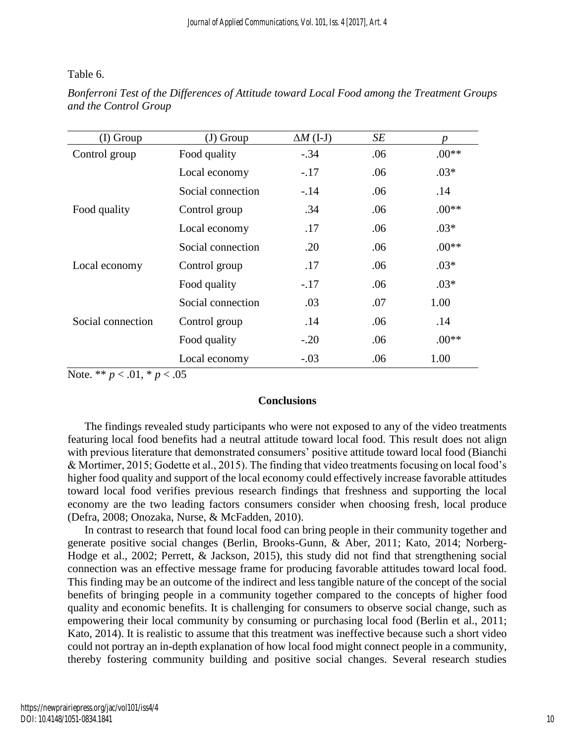Table 6.

| $(I)$ Group       | $(J)$ Group       | $\Delta M$ (I-J) | SE  | n       |
|-------------------|-------------------|------------------|-----|---------|
| Control group     | Food quality      | $-.34$           | .06 | $.00**$ |
|                   | Local economy     | $-.17$           | .06 | $.03*$  |
|                   | Social connection | $-.14$           | .06 | .14     |
| Food quality      | Control group     | .34              | .06 | $.00**$ |
|                   | Local economy     | .17              | .06 | $.03*$  |
|                   | Social connection | .20              | .06 | $.00**$ |
| Local economy     | Control group     | .17              | .06 | $.03*$  |
|                   | Food quality      | $-.17$           | .06 | $.03*$  |
|                   | Social connection | .03              | .07 | 1.00    |
| Social connection | Control group     | .14              | .06 | .14     |
|                   | Food quality      | $-.20$           | .06 | $.00**$ |
|                   | Local economy     | $-.03$           | .06 | 1.00    |

*Bonferroni Test of the Differences of Attitude toward Local Food among the Treatment Groups and the Control Group*

Note. \*\* *p* < .01, \* *p* < .05

# **Conclusions**

The findings revealed study participants who were not exposed to any of the video treatments featuring local food benefits had a neutral attitude toward local food. This result does not align with previous literature that demonstrated consumers' positive attitude toward local food (Bianchi & Mortimer, 2015; Godette et al., 2015). The finding that video treatments focusing on local food's higher food quality and support of the local economy could effectively increase favorable attitudes toward local food verifies previous research findings that freshness and supporting the local economy are the two leading factors consumers consider when choosing fresh, local produce (Defra, 2008; Onozaka, Nurse, & McFadden, 2010).

In contrast to research that found local food can bring people in their community together and generate positive social changes (Berlin, Brooks-Gunn, & Aber, 2011; Kato, 2014; Norberg-Hodge et al., 2002; Perrett, & Jackson, 2015), this study did not find that strengthening social connection was an effective message frame for producing favorable attitudes toward local food. This finding may be an outcome of the indirect and less tangible nature of the concept of the social benefits of bringing people in a community together compared to the concepts of higher food quality and economic benefits. It is challenging for consumers to observe social change, such as empowering their local community by consuming or purchasing local food (Berlin et al., 2011; Kato, 2014). It is realistic to assume that this treatment was ineffective because such a short video could not portray an in-depth explanation of how local food might connect people in a community, thereby fostering community building and positive social changes. Several research studies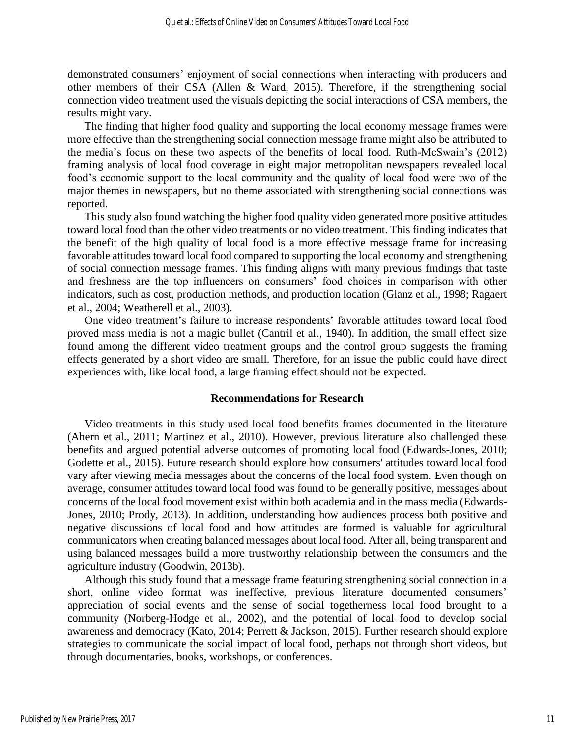demonstrated consumers' enjoyment of social connections when interacting with producers and other members of their CSA (Allen & Ward, 2015). Therefore, if the strengthening social connection video treatment used the visuals depicting the social interactions of CSA members, the results might vary.

The finding that higher food quality and supporting the local economy message frames were more effective than the strengthening social connection message frame might also be attributed to the media's focus on these two aspects of the benefits of local food. Ruth-McSwain's (2012) framing analysis of local food coverage in eight major metropolitan newspapers revealed local food's economic support to the local community and the quality of local food were two of the major themes in newspapers, but no theme associated with strengthening social connections was reported.

This study also found watching the higher food quality video generated more positive attitudes toward local food than the other video treatments or no video treatment. This finding indicates that the benefit of the high quality of local food is a more effective message frame for increasing favorable attitudes toward local food compared to supporting the local economy and strengthening of social connection message frames. This finding aligns with many previous findings that taste and freshness are the top influencers on consumers' food choices in comparison with other indicators, such as cost, production methods, and production location (Glanz et al., 1998; Ragaert et al., 2004; Weatherell et al., 2003).

One video treatment's failure to increase respondents' favorable attitudes toward local food proved mass media is not a magic bullet (Cantril et al., 1940). In addition, the small effect size found among the different video treatment groups and the control group suggests the framing effects generated by a short video are small. Therefore, for an issue the public could have direct experiences with, like local food, a large framing effect should not be expected.

#### **Recommendations for Research**

Video treatments in this study used local food benefits frames documented in the literature (Ahern et al., 2011; Martinez et al., 2010). However, previous literature also challenged these benefits and argued potential adverse outcomes of promoting local food (Edwards-Jones, 2010; Godette et al., 2015). Future research should explore how consumers' attitudes toward local food vary after viewing media messages about the concerns of the local food system. Even though on average, consumer attitudes toward local food was found to be generally positive, messages about concerns of the local food movement exist within both academia and in the mass media (Edwards-Jones, 2010; Prody, 2013). In addition, understanding how audiences process both positive and negative discussions of local food and how attitudes are formed is valuable for agricultural communicators when creating balanced messages about local food. After all, being transparent and using balanced messages build a more trustworthy relationship between the consumers and the agriculture industry (Goodwin, 2013b).

Although this study found that a message frame featuring strengthening social connection in a short, online video format was ineffective, previous literature documented consumers' appreciation of social events and the sense of social togetherness local food brought to a community (Norberg-Hodge et al., 2002), and the potential of local food to develop social awareness and democracy (Kato, 2014; Perrett & Jackson, 2015). Further research should explore strategies to communicate the social impact of local food, perhaps not through short videos, but through documentaries, books, workshops, or conferences.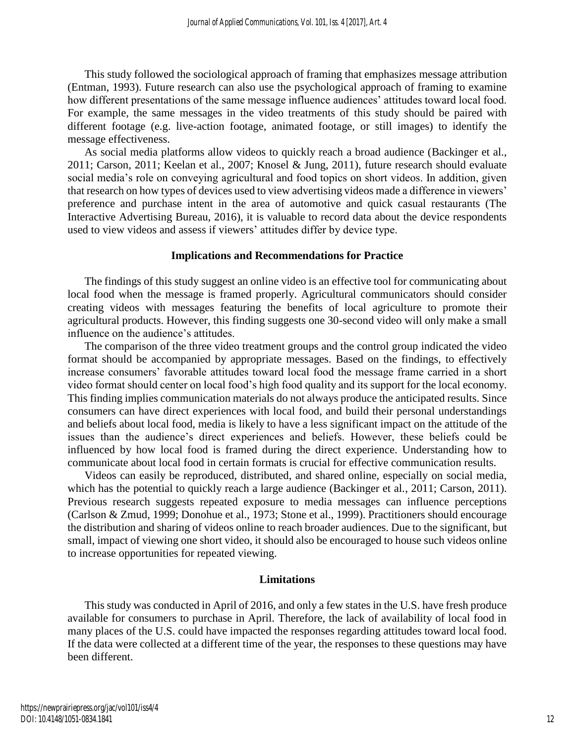This study followed the sociological approach of framing that emphasizes message attribution (Entman, 1993). Future research can also use the psychological approach of framing to examine how different presentations of the same message influence audiences' attitudes toward local food. For example, the same messages in the video treatments of this study should be paired with different footage (e.g. live-action footage, animated footage, or still images) to identify the message effectiveness.

As social media platforms allow videos to quickly reach a broad audience (Backinger et al., 2011; Carson, 2011; Keelan et al., 2007; Knosel & Jung, 2011), future research should evaluate social media's role on conveying agricultural and food topics on short videos. In addition, given that research on how types of devices used to view advertising videos made a difference in viewers' preference and purchase intent in the area of automotive and quick casual restaurants (The Interactive Advertising Bureau, 2016), it is valuable to record data about the device respondents used to view videos and assess if viewers' attitudes differ by device type.

#### **Implications and Recommendations for Practice**

The findings of this study suggest an online video is an effective tool for communicating about local food when the message is framed properly. Agricultural communicators should consider creating videos with messages featuring the benefits of local agriculture to promote their agricultural products. However, this finding suggests one 30-second video will only make a small influence on the audience's attitudes.

The comparison of the three video treatment groups and the control group indicated the video format should be accompanied by appropriate messages. Based on the findings, to effectively increase consumers' favorable attitudes toward local food the message frame carried in a short video format should center on local food's high food quality and its support for the local economy. This finding implies communication materials do not always produce the anticipated results. Since consumers can have direct experiences with local food, and build their personal understandings and beliefs about local food, media is likely to have a less significant impact on the attitude of the issues than the audience's direct experiences and beliefs. However, these beliefs could be influenced by how local food is framed during the direct experience. Understanding how to communicate about local food in certain formats is crucial for effective communication results.

Videos can easily be reproduced, distributed, and shared online, especially on social media, which has the potential to quickly reach a large audience (Backinger et al., 2011; Carson, 2011). Previous research suggests repeated exposure to media messages can influence perceptions (Carlson & Zmud, 1999; Donohue et al., 1973; Stone et al., 1999). Practitioners should encourage the distribution and sharing of videos online to reach broader audiences. Due to the significant, but small, impact of viewing one short video, it should also be encouraged to house such videos online to increase opportunities for repeated viewing.

#### **Limitations**

This study was conducted in April of 2016, and only a few states in the U.S. have fresh produce available for consumers to purchase in April. Therefore, the lack of availability of local food in many places of the U.S. could have impacted the responses regarding attitudes toward local food. If the data were collected at a different time of the year, the responses to these questions may have been different.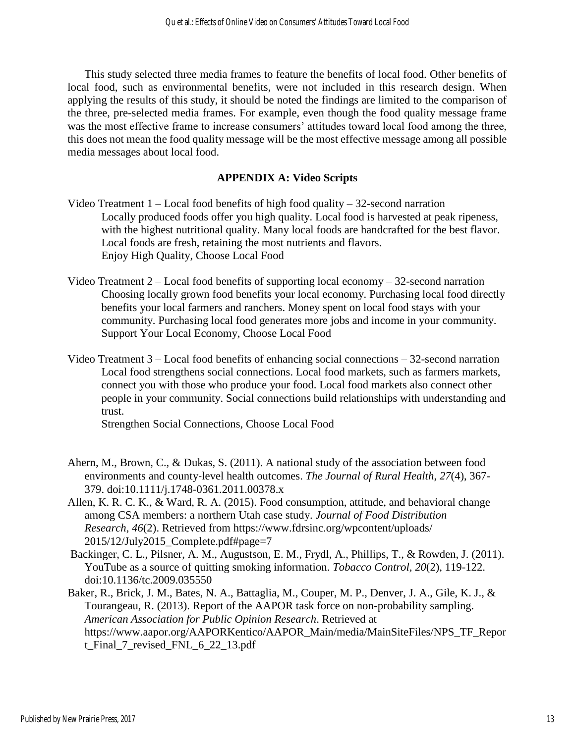This study selected three media frames to feature the benefits of local food. Other benefits of local food, such as environmental benefits, were not included in this research design. When applying the results of this study, it should be noted the findings are limited to the comparison of the three, pre-selected media frames. For example, even though the food quality message frame was the most effective frame to increase consumers' attitudes toward local food among the three, this does not mean the food quality message will be the most effective message among all possible media messages about local food.

# **APPENDIX A: Video Scripts**

- Video Treatment  $1 -$  Local food benefits of high food quality  $-32$ -second narration Locally produced foods offer you high quality. Local food is harvested at peak ripeness, with the highest nutritional quality. Many local foods are handcrafted for the best flavor. Local foods are fresh, retaining the most nutrients and flavors. Enjoy High Quality, Choose Local Food
- Video Treatment 2 Local food benefits of supporting local economy 32-second narration Choosing locally grown food benefits your local economy. Purchasing local food directly benefits your local farmers and ranchers. Money spent on local food stays with your community. Purchasing local food generates more jobs and income in your community. Support Your Local Economy, Choose Local Food
- Video Treatment 3 Local food benefits of enhancing social connections 32-second narration Local food strengthens social connections. Local food markets, such as farmers markets, connect you with those who produce your food. Local food markets also connect other people in your community. Social connections build relationships with understanding and trust.

Strengthen Social Connections, Choose Local Food

- Ahern, M., Brown, C., & Dukas, S. (2011). A national study of the association between food environments and county‐level health outcomes. *The Journal of Rural Health*, *27*(4), 367- 379. doi:10.1111/j.1748-0361.2011.00378.x
- Allen, K. R. C. K., & Ward, R. A. (2015). Food consumption, attitude, and behavioral change among CSA members: a northern Utah case study. *Journal of Food Distribution Research*, *46*(2). Retrieved from https://www.fdrsinc.org/wpcontent/uploads/ 2015/12/July2015\_Complete.pdf#page=7
- Backinger, C. L., Pilsner, A. M., Augustson, E. M., Frydl, A., Phillips, T., & Rowden, J. (2011). YouTube as a source of quitting smoking information. *Tobacco Control, 20*(2), 119-122. doi:10.1136/tc.2009.035550
- Baker, R., Brick, J. M., Bates, N. A., Battaglia, M., Couper, M. P., Denver, J. A., Gile, K. J., & Tourangeau, R. (2013). Report of the AAPOR task force on non-probability sampling. *American Association for Public Opinion Research*. Retrieved at https://www.aapor.org/AAPORKentico/AAPOR\_Main/media/MainSiteFiles/NPS\_TF\_Repor t\_Final\_7\_revised\_FNL\_6\_22\_13.pdf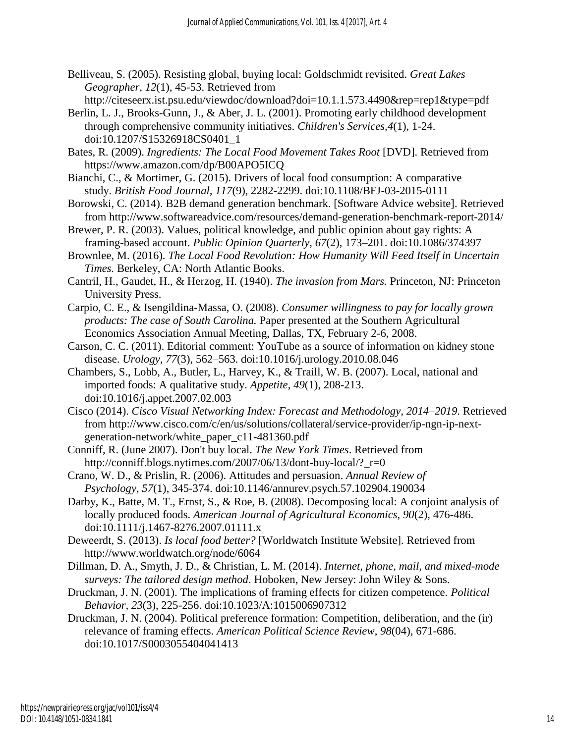Belliveau, S. (2005). Resisting global, buying local: Goldschmidt revisited. *Great Lakes Geographer*, *12*(1), 45-53. Retrieved from

http://citeseerx.ist.psu.edu/viewdoc/download?doi=10.1.1.573.4490&rep=rep1&type=pdf

- Berlin, L. J., Brooks-Gunn, J., & Aber, J. L. (2001). Promoting early childhood development through comprehensive community initiatives. *Children's Services,4*(1), 1-24. doi:10.1207/S15326918CS0401\_1
- Bates, R. (2009). *Ingredients: The Local Food Movement Takes Root* [DVD]. Retrieved from https://www.amazon.com/dp/B00APO5ICQ
- Bianchi, C., & Mortimer, G. (2015). Drivers of local food consumption: A comparative study. *British Food Journal, 117*(9), 2282-2299. doi:10.1108/BFJ-03-2015-0111
- Borowski, C. (2014). B2B demand generation benchmark. [Software Advice website]. Retrieved from http://www.softwareadvice.com/resources/demand-generation-benchmark-report-2014/
- Brewer, P. R. (2003). Values, political knowledge, and public opinion about gay rights: A framing-based account. *Public Opinion Quarterly, 67*(2), 173–201. doi:10.1086/374397
- Brownlee, M. (2016). *The Local Food Revolution: How Humanity Will Feed Itself in Uncertain Times.* Berkeley, CA: North Atlantic Books.
- Cantril, H., Gaudet, H., & Herzog, H. (1940). *The invasion from Mars.* Princeton, NJ: Princeton University Press.
- Carpio, C. E., & Isengildina-Massa, O. (2008). *Consumer willingness to pay for locally grown products: The case of South Carolina.* Paper presented at the Southern Agricultural Economics Association Annual Meeting, Dallas, TX, February 2-6, 2008.
- Carson, C. C. (2011). Editorial comment: YouTube as a source of information on kidney stone disease. *Urology, 77*(3), 562–563. doi:10.1016/j.urology.2010.08.046
- Chambers, S., Lobb, A., Butler, L., Harvey, K., & Traill, W. B. (2007). Local, national and imported foods: A qualitative study. *Appetite*, *49*(1), 208-213. doi:10.1016/j.appet.2007.02.003
- Cisco (2014). *Cisco Visual Networking Index: Forecast and Methodology, 2014–2019*. Retrieved from http://www.cisco.com/c/en/us/solutions/collateral/service-provider/ip-ngn-ip-nextgeneration-network/white\_paper\_c11-481360.pdf
- Conniff, R. (June 2007). Don't buy local. *The New York Times*. Retrieved from http://conniff.blogs.nytimes.com/2007/06/13/dont-buy-local/? r=0
- Crano, W. D., & Prislin, R. (2006). Attitudes and persuasion. *Annual Review of Psychology, 57*(1), 345-374. doi:10.1146/annurev.psych.57.102904.190034
- Darby, K., Batte, M. T., Ernst, S., & Roe, B. (2008). Decomposing local: A conjoint analysis of locally produced foods. *American Journal of Agricultural Economics*, *90*(2), 476-486. doi:10.1111/j.1467-8276.2007.01111.x
- Deweerdt, S. (2013). *Is local food better?* [Worldwatch Institute Website]. Retrieved from http://www.worldwatch.org/node/6064
- Dillman, D. A., Smyth, J. D., & Christian, L. M. (2014). *Internet, phone, mail, and mixed-mode surveys: The tailored design method*. Hoboken, New Jersey: John Wiley & Sons.
- Druckman, J. N. (2001). The implications of framing effects for citizen competence. *Political Behavior, 23*(3), 225-256. doi:10.1023/A:1015006907312
- Druckman, J. N. (2004). Political preference formation: Competition, deliberation, and the (ir) relevance of framing effects. *American Political Science Review*, *98*(04), 671-686. doi:10.1017/S0003055404041413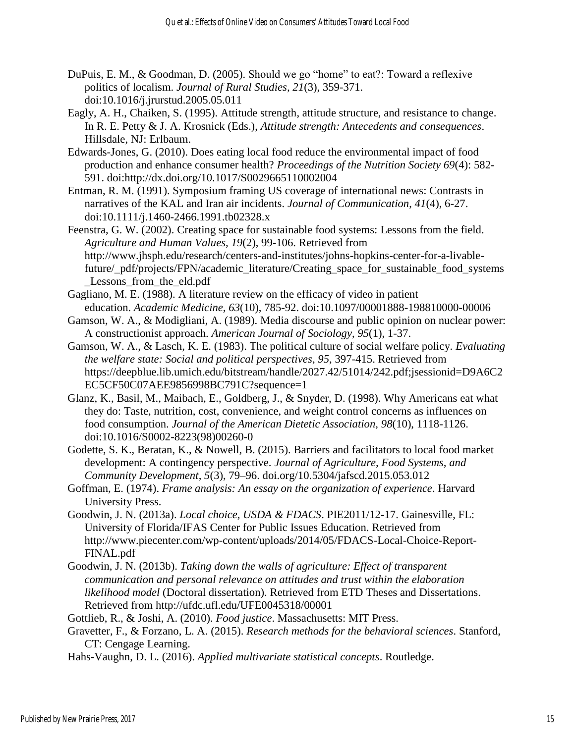- DuPuis, E. M., & Goodman, D. (2005). Should we go "home" to eat?: Toward a reflexive politics of localism. *Journal of Rural Studies, 21*(3), 359-371. doi:10.1016/j.jrurstud.2005.05.011
- Eagly, A. H., Chaiken, S. (1995). Attitude strength, attitude structure, and resistance to change. In R. E. Petty & J. A. Krosnick (Eds.), *Attitude strength: Antecedents and consequences*. Hillsdale, NJ: Erlbaum.
- Edwards-Jones, G. (2010). Does eating local food reduce the environmental impact of food production and enhance consumer health? *Proceedings of the Nutrition Society 69*(4): 582- 591. doi:http://dx.doi.org/10.1017/S0029665110002004
- Entman, R. M. (1991). Symposium framing US coverage of international news: Contrasts in narratives of the KAL and Iran air incidents. *Journal of Communication*, *41*(4), 6-27. doi:10.1111/j.1460-2466.1991.tb02328.x
- Feenstra, G. W. (2002). Creating space for sustainable food systems: Lessons from the field. *Agriculture and Human Values, 19*(2), 99-106. Retrieved from http://www.jhsph.edu/research/centers-and-institutes/johns-hopkins-center-for-a-livablefuture/\_pdf/projects/FPN/academic\_literature/Creating\_space\_for\_sustainable\_food\_systems Lessons from the eld.pdf
- Gagliano, M. E. (1988). A literature review on the efficacy of video in patient education. *Academic Medicine, 63*(10), 785-92. doi:10.1097/00001888-198810000-00006
- Gamson, W. A., & Modigliani, A. (1989). Media discourse and public opinion on nuclear power: A constructionist approach. *American Journal of Sociology*, *95*(1), 1-37.
- Gamson, W. A., & Lasch, K. E. (1983). The political culture of social welfare policy. *Evaluating the welfare state: Social and political perspectives*, *95*, 397-415. Retrieved from https://deepblue.lib.umich.edu/bitstream/handle/2027.42/51014/242.pdf;jsessionid=D9A6C2 EC5CF50C07AEE9856998BC791C?sequence=1
- Glanz, K., Basil, M., Maibach, E., Goldberg, J., & Snyder, D. (1998). Why Americans eat what they do: Taste, nutrition, cost, convenience, and weight control concerns as influences on food consumption. *Journal of the American Dietetic Association, 98*(10), 1118-1126. doi:10.1016/S0002-8223(98)00260-0
- Godette, S. K., Beratan, K., & Nowell, B. (2015). Barriers and facilitators to local food market development: A contingency perspective. *Journal of Agriculture, Food Systems, and Community Development, 5*(3), 79–96. doi.org/10.5304/jafscd.2015.053.012
- Goffman, E. (1974). *Frame analysis: An essay on the organization of experience*. Harvard University Press.
- Goodwin, J. N. (2013a). *Local choice, USDA & FDACS*. PIE2011/12-17. Gainesville, FL: University of Florida/IFAS Center for Public Issues Education. Retrieved from http://www.piecenter.com/wp-content/uploads/2014/05/FDACS-Local-Choice-Report-FINAL.pdf
- Goodwin, J. N. (2013b). *Taking down the walls of agriculture: Effect of transparent communication and personal relevance on attitudes and trust within the elaboration likelihood model* (Doctoral dissertation). Retrieved from ETD Theses and Dissertations. Retrieved from http://ufdc.ufl.edu/UFE0045318/00001
- Gottlieb, R., & Joshi, A. (2010). *Food justice*. Massachusetts: MIT Press.
- Gravetter, F., & Forzano, L. A. (2015). *Research methods for the behavioral sciences*. Stanford, CT: Cengage Learning.

Hahs-Vaughn, D. L. (2016). *Applied multivariate statistical concepts*. Routledge.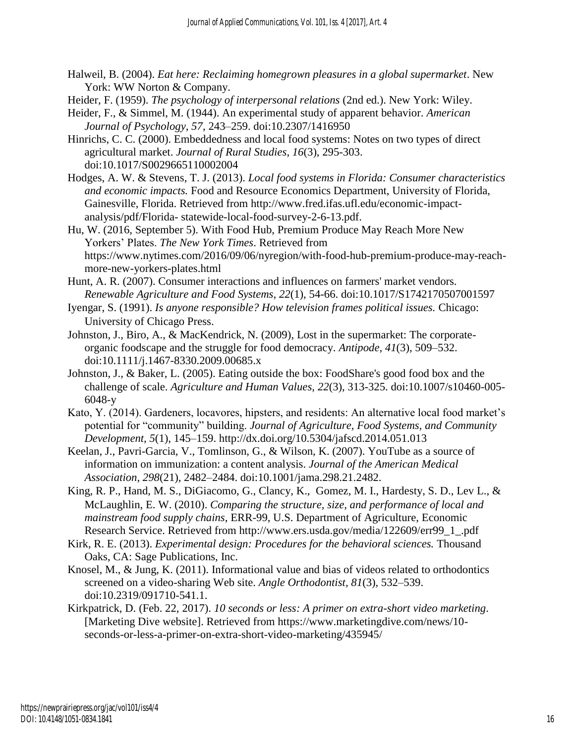- Halweil, B. (2004). *Eat here: Reclaiming homegrown pleasures in a global supermarket*. New York: WW Norton & Company.
- Heider, F. (1959). *The psychology of interpersonal relations* (2nd ed.). New York: Wiley.
- Heider, F., & Simmel, M. (1944). An experimental study of apparent behavior. *American Journal of Psychology, 57*, 243–259. doi:10.2307/1416950
- Hinrichs, C. C. (2000). Embeddedness and local food systems: Notes on two types of direct agricultural market. *Journal of Rural Studies*, *16*(3), 295-303. doi:10.1017/S0029665110002004
- Hodges, A. W. & Stevens, T. J. (2013). *Local food systems in Florida: Consumer characteristics and economic impacts.* Food and Resource Economics Department, University of Florida, Gainesville, Florida. Retrieved from http://www.fred.ifas.ufl.edu/economic-impactanalysis/pdf/Florida- statewide-local-food-survey-2-6-13.pdf.
- Hu, W. (2016, September 5). With Food Hub, Premium Produce May Reach More New Yorkers' Plates. *The New York Times*. Retrieved from https://www.nytimes.com/2016/09/06/nyregion/with-food-hub-premium-produce-may-reachmore-new-yorkers-plates.html
- Hunt, A. R. (2007). Consumer interactions and influences on farmers' market vendors. *Renewable Agriculture and Food Systems, 22*(1), 54-66. doi:10.1017/S1742170507001597
- Iyengar, S. (1991). *Is anyone responsible? How television frames political issues.* Chicago: University of Chicago Press.
- Johnston, J., Biro, A., & MacKendrick, N. (2009), Lost in the supermarket: The corporateorganic foodscape and the struggle for food democracy. *Antipode*, *41*(3), 509–532. doi:10.1111/j.1467-8330.2009.00685.x
- Johnston, J., & Baker, L. (2005). Eating outside the box: FoodShare's good food box and the challenge of scale. *Agriculture and Human Values, 22*(3), 313-325. doi:10.1007/s10460-005- 6048-y
- Kato, Y. (2014). Gardeners, locavores, hipsters, and residents: An alternative local food market's potential for "community" building. *Journal of Agriculture, Food Systems, and Community Development, 5*(1), 145–159. http://dx.doi.org/10.5304/jafscd.2014.051.013
- Keelan, J., Pavri-Garcia, V., Tomlinson, G., & Wilson, K. (2007). YouTube as a source of information on immunization: a content analysis. *Journal of the American Medical Association, 298*(21), 2482–2484. doi:10.1001/jama.298.21.2482.
- King, R. P., Hand, M. S., DiGiacomo, G., Clancy, K., Gomez, M. I., Hardesty, S. D., Lev L., & McLaughlin, E. W. (2010). *Comparing the structure, size, and performance of local and mainstream food supply chains*, ERR-99, U.S. Department of Agriculture, Economic Research Service. Retrieved from http://www.ers.usda.gov/media/122609/err99\_1\_.pdf
- Kirk, R. E. (2013). *Experimental design: Procedures for the behavioral sciences.* Thousand Oaks, CA: Sage Publications, Inc.
- Knosel, M., & Jung, K. (2011). Informational value and bias of videos related to orthodontics screened on a video-sharing Web site. *Angle Orthodontist, 81*(3), 532–539. doi:10.2319/091710-541.1.
- Kirkpatrick, D. (Feb. 22, 2017). *10 seconds or less: A primer on extra-short video marketing*. [Marketing Dive website]. Retrieved from https://www.marketingdive.com/news/10 seconds-or-less-a-primer-on-extra-short-video-marketing/435945/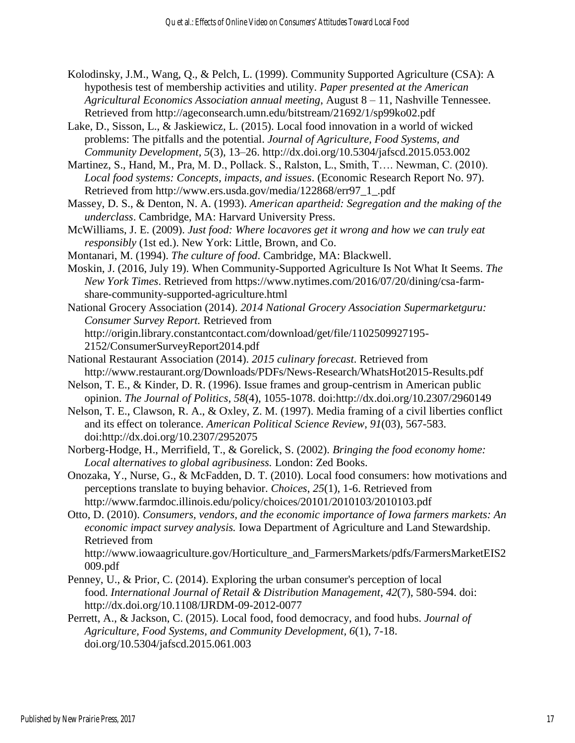- Kolodinsky, J.M., Wang, Q., & Pelch, L. (1999). Community Supported Agriculture (CSA): A hypothesis test of membership activities and utility. *Paper presented at the American Agricultural Economics Association annual meeting*, August 8 – 11, Nashville Tennessee. Retrieved from http://ageconsearch.umn.edu/bitstream/21692/1/sp99ko02.pdf
- Lake, D., Sisson, L., & Jaskiewicz, L. (2015). Local food innovation in a world of wicked problems: The pitfalls and the potential. *Journal of Agriculture, Food Systems, and Community Development, 5*(3), 13–26. http://dx.doi.org/10.5304/jafscd.2015.053.002
- Martinez, S., Hand, M., Pra, M. D., Pollack. S., Ralston, L., Smith, T…. Newman, C. (2010). *Local food systems: Concepts, impacts, and issues*. (Economic Research Report No. 97). Retrieved from http://www.ers.usda.gov/media/122868/err97\_1\_.pdf
- Massey, D. S., & Denton, N. A. (1993). *American apartheid: Segregation and the making of the underclass*. Cambridge, MA: Harvard University Press.
- McWilliams, J. E. (2009). *Just food: Where locavores get it wrong and how we can truly eat responsibly* (1st ed.). New York: Little, Brown, and Co.
- Montanari, M. (1994). *The culture of food*. Cambridge, MA: Blackwell.
- Moskin, J. (2016, July 19). When Community-Supported Agriculture Is Not What It Seems. *The New York Times*. Retrieved from https://www.nytimes.com/2016/07/20/dining/csa-farmshare-community-supported-agriculture.html
- National Grocery Association (2014). *2014 National Grocery Association Supermarketguru: Consumer Survey Report.* Retrieved from http://origin.library.constantcontact.com/download/get/file/1102509927195- 2152/ConsumerSurveyReport2014.pdf
- National Restaurant Association (2014). *2015 culinary forecast*. Retrieved from http://www.restaurant.org/Downloads/PDFs/News-Research/WhatsHot2015-Results.pdf
- Nelson, T. E., & Kinder, D. R. (1996). Issue frames and group-centrism in American public opinion. *The Journal of Politics*, *58*(4), 1055-1078. doi:http://dx.doi.org/10.2307/2960149
- Nelson, T. E., Clawson, R. A., & Oxley, Z. M. (1997). Media framing of a civil liberties conflict and its effect on tolerance. *American Political Science Review*, *91*(03), 567-583. doi:http://dx.doi.org/10.2307/2952075
- Norberg-Hodge, H., Merrifield, T., & Gorelick, S. (2002). *Bringing the food economy home: Local alternatives to global agribusiness.* London: Zed Books.
- Onozaka, Y., Nurse, G., & McFadden, D. T. (2010). Local food consumers: how motivations and perceptions translate to buying behavior. *Choices*, *25*(1), 1-6. Retrieved from http://www.farmdoc.illinois.edu/policy/choices/20101/2010103/2010103.pdf
- Otto, D. (2010). *Consumers, vendors, and the economic importance of Iowa farmers markets: An economic impact survey analysis.* Iowa Department of Agriculture and Land Stewardship. Retrieved from

http://www.iowaagriculture.gov/Horticulture\_and\_FarmersMarkets/pdfs/FarmersMarketEIS2 009.pdf

- Penney, U., & Prior, C. (2014). Exploring the urban consumer's perception of local food. *International Journal of Retail & Distribution Management*, *42*(7), 580-594. doi: http://dx.doi.org/10.1108/IJRDM-09-2012-0077
- Perrett, A., & Jackson, C. (2015). Local food, food democracy, and food hubs. *Journal of Agriculture, Food Systems, and Community Development, 6*(1), 7-18. doi.org/10.5304/jafscd.2015.061.003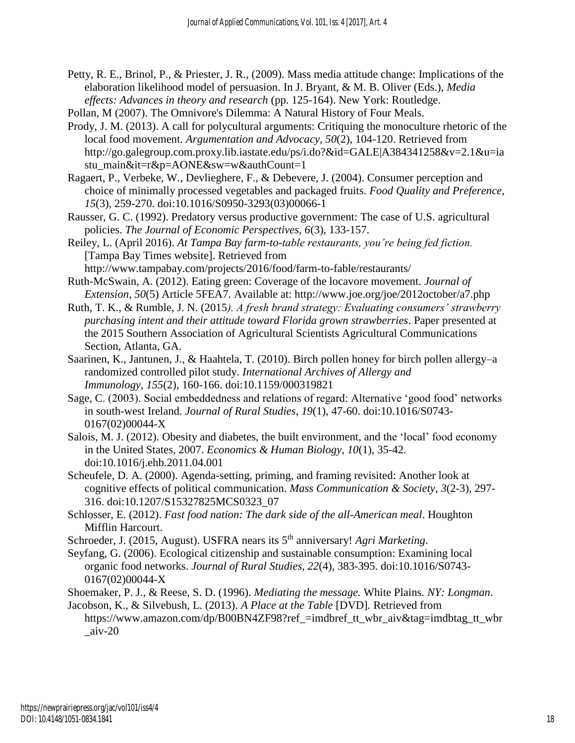- Petty, R. E., Brinol, P., & Priester, J. R., (2009). Mass media attitude change: Implications of the elaboration likelihood model of persuasion. In J. Bryant, & M. B. Oliver (Eds.), *Media effects: Advances in theory and research* (pp. 125-164). New York: Routledge.
- Pollan, M (2007). The Omnivore's Dilemma: A Natural History of Four Meals.
- Prody, J. M. (2013). A call for polycultural arguments: Critiquing the monoculture rhetoric of the local food movement. *Argumentation and Advocacy, 50*(2), 104-120. Retrieved from http://go.galegroup.com.proxy.lib.iastate.edu/ps/i.do?&id=GALE|A384341258&v=2.1&u=ia stu\_main&it=r&p=AONE&sw=w&authCount=1
- Ragaert, P., Verbeke, W., Devlieghere, F., & Debevere, J. (2004). Consumer perception and choice of minimally processed vegetables and packaged fruits. *Food Quality and Preference, 15*(3), 259-270. doi:10.1016/S0950-3293(03)00066-1
- Rausser, G. C. (1992). Predatory versus productive government: The case of U.S. agricultural policies. *The Journal of Economic Perspectives, 6*(3), 133-157.
- Reiley, L. (April 2016). *At Tampa Bay farm-to-table restaurants, you're being fed fiction.* [Tampa Bay Times website]. Retrieved from http://www.tampabay.com/projects/2016/food/farm-to-fable/restaurants/
- Ruth-McSwain, A. (2012). Eating green: Coverage of the locavore movement. *Journal of Extension*, *50*(5) Article 5FEA7. Available at: http://www.joe.org/joe/2012october/a7.php
- Ruth, T. K., & Rumble, J. N. (2015*). A fresh brand strategy: Evaluating consumers' strawberry purchasing intent and their attitude toward Florida grown strawberries*. Paper presented at the 2015 Southern Association of Agricultural Scientists Agricultural Communications Section, Atlanta, GA.
- Saarinen, K., Jantunen, J., & Haahtela, T. (2010). Birch pollen honey for birch pollen allergy–a randomized controlled pilot study. *International Archives of Allergy and Immunology*, *155*(2), 160-166. doi:10.1159/000319821
- Sage, C. (2003). Social embeddedness and relations of regard: Alternative 'good food' networks in south-west Ireland. *Journal of Rural Studies*, *19*(1), 47-60. doi:10.1016/S0743- 0167(02)00044-X
- Salois, M. J. (2012). Obesity and diabetes, the built environment, and the 'local' food economy in the United States, 2007. *Economics & Human Biology*, *10*(1), 35-42. doi:10.1016/j.ehb.2011.04.001
- Scheufele, D. A. (2000). Agenda-setting, priming, and framing revisited: Another look at cognitive effects of political communication. *Mass Communication & Society*, *3*(2-3), 297- 316. doi:10.1207/S15327825MCS0323\_07
- Schlosser, E. (2012). *Fast food nation: The dark side of the all-American meal*. Houghton Mifflin Harcourt.
- Schroeder, J. (2015, August). USFRA nears its 5th anniversary! *Agri Marketing*.
- Seyfang, G. (2006). Ecological citizenship and sustainable consumption: Examining local organic food networks. *Journal of Rural Studies*, *22*(4), 383-395. doi:10.1016/S0743- 0167(02)00044-X
- Shoemaker, P. J., & Reese, S. D. (1996). *Mediating the message.* White Plains. *NY: Longman*.
- Jacobson, K., & Silvebush, L. (2013). *A Place at the Table* [DVD]*.* Retrieved from https://www.amazon.com/dp/B00BN4ZF98?ref\_=imdbref\_tt\_wbr\_aiv&tag=imdbtag\_tt\_wbr  $a$ iv-20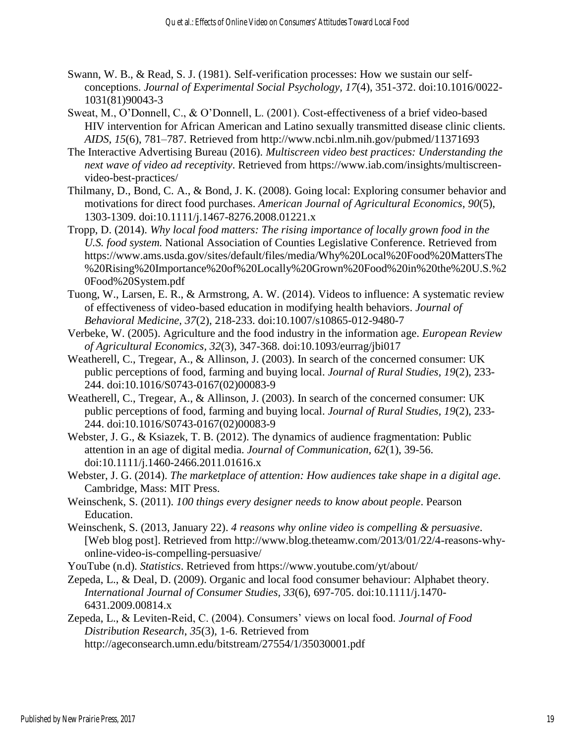- Swann, W. B., & Read, S. J. (1981). Self-verification processes: How we sustain our selfconceptions. *Journal of Experimental Social Psychology, 17*(4), 351-372. doi:10.1016/0022- 1031(81)90043-3
- Sweat, M., O'Donnell, C., & O'Donnell, L. (2001). Cost-effectiveness of a brief video-based HIV intervention for African American and Latino sexually transmitted disease clinic clients. *AIDS, 15*(6), 781–787. Retrieved from http://www.ncbi.nlm.nih.gov/pubmed/11371693
- The Interactive Advertising Bureau (2016). *Multiscreen video best practices: Understanding the next wave of video ad receptivity*. Retrieved from https://www.iab.com/insights/multiscreenvideo-best-practices/
- Thilmany, D., Bond, C. A., & Bond, J. K. (2008). Going local: Exploring consumer behavior and motivations for direct food purchases. *American Journal of Agricultural Economics*, *90*(5), 1303-1309. doi:10.1111/j.1467-8276.2008.01221.x
- Tropp, D. (2014). *Why local food matters: The rising importance of locally grown food in the U.S. food system.* National Association of Counties Legislative Conference. Retrieved from https://www.ams.usda.gov/sites/default/files/media/Why%20Local%20Food%20MattersThe %20Rising%20Importance%20of%20Locally%20Grown%20Food%20in%20the%20U.S.%2 0Food%20System.pdf
- Tuong, W., Larsen, E. R., & Armstrong, A. W. (2014). Videos to influence: A systematic review of effectiveness of video-based education in modifying health behaviors. *Journal of Behavioral Medicine, 37*(2), 218-233. doi:10.1007/s10865-012-9480-7
- Verbeke, W. (2005). Agriculture and the food industry in the information age. *European Review of Agricultural Economics, 32*(3), 347-368. doi:10.1093/eurrag/jbi017
- Weatherell, C., Tregear, A., & Allinson, J. (2003). In search of the concerned consumer: UK public perceptions of food, farming and buying local. *Journal of Rural Studies, 19*(2), 233- 244. doi:10.1016/S0743-0167(02)00083-9
- Weatherell, C., Tregear, A., & Allinson, J. (2003). In search of the concerned consumer: UK public perceptions of food, farming and buying local. *Journal of Rural Studies, 19*(2), 233- 244. doi:10.1016/S0743-0167(02)00083-9
- Webster, J. G., & Ksiazek, T. B. (2012). The dynamics of audience fragmentation: Public attention in an age of digital media. *Journal of Communication, 62*(1), 39-56. doi:10.1111/j.1460-2466.2011.01616.x
- Webster, J. G. (2014). *The marketplace of attention: How audiences take shape in a digital age*. Cambridge, Mass: MIT Press.
- Weinschenk, S. (2011). *100 things every designer needs to know about people*. Pearson Education.
- Weinschenk, S. (2013, January 22). *4 reasons why online video is compelling & persuasive*. [Web blog post]. Retrieved from http://www.blog.theteamw.com/2013/01/22/4-reasons-whyonline-video-is-compelling-persuasive/

YouTube (n.d). *Statistics*. Retrieved from https://www.youtube.com/yt/about/

- Zepeda, L., & Deal, D. (2009). Organic and local food consumer behaviour: Alphabet theory. *International Journal of Consumer Studies, 33*(6), 697-705. doi:10.1111/j.1470- 6431.2009.00814.x
- Zepeda, L., & Leviten-Reid, C. (2004). Consumers' views on local food. *Journal of Food Distribution Research*, *35*(3), 1-6. Retrieved from http://ageconsearch.umn.edu/bitstream/27554/1/35030001.pdf